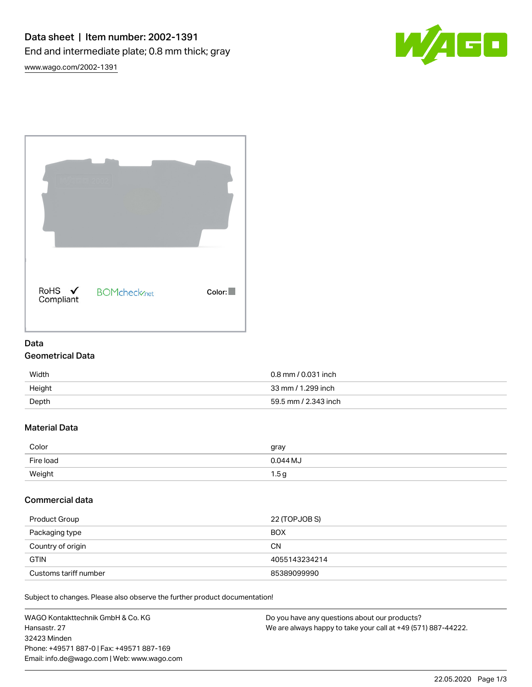

[www.wago.com/2002-1391](http://www.wago.com/2002-1391)

| RoHS ✔<br>Compliant | <b>BOMcheck</b> <sub>net</sub> | Color: |
|---------------------|--------------------------------|--------|

# Data Geometrical Data

# Width 0.8 mm / 0.031 inch Height 33 mm / 1.299 inch Depth 59.5 mm / 2.343 inch

# Material Data

| Color     | gray     |
|-----------|----------|
| Fire load | 0.044 MJ |
| Weight    | 1.5 g    |

# Commercial data

| Product Group         | 22 (TOPJOB S) |
|-----------------------|---------------|
| Packaging type        | <b>BOX</b>    |
| Country of origin     | <b>CN</b>     |
| <b>GTIN</b>           | 4055143234214 |
| Customs tariff number | 85389099990   |

Subject to changes. Please also observe the further product documentation!

| WAGO Kontakttechnik GmbH & Co. KG           | Do you have any questions about our products?                 |
|---------------------------------------------|---------------------------------------------------------------|
| Hansastr. 27                                | We are always happy to take your call at +49 (571) 887-44222. |
| 32423 Minden                                |                                                               |
| Phone: +49571 887-0   Fax: +49571 887-169   |                                                               |
| Email: info.de@wago.com   Web: www.wago.com |                                                               |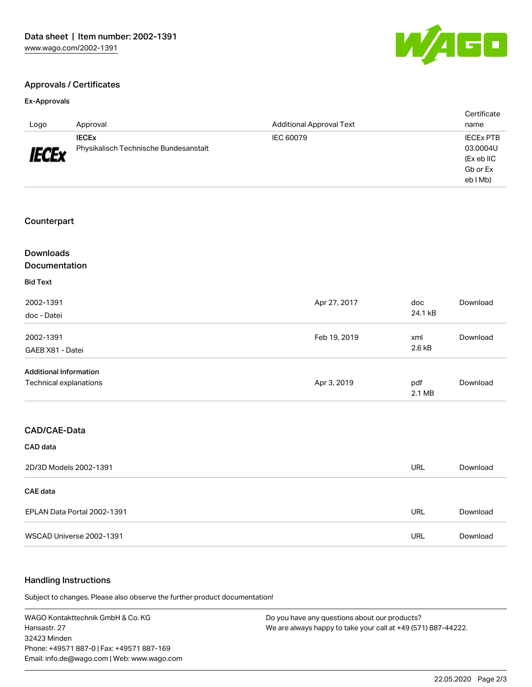

Certificate

## Approvals / Certificates

#### Ex-Approvals

| Logo                          | Approval                              | <b>Additional Approval Text</b> |               | name             |
|-------------------------------|---------------------------------------|---------------------------------|---------------|------------------|
|                               | <b>IECEX</b>                          | IEC 60079                       |               | <b>IECEX PTB</b> |
|                               | Physikalisch Technische Bundesanstalt |                                 |               | 03.0004U         |
| <b>IECEx</b>                  |                                       |                                 |               | (Ex eb IIC       |
|                               |                                       |                                 |               | Gb or Ex         |
|                               |                                       |                                 |               | eb I Mb)         |
|                               |                                       |                                 |               |                  |
| Counterpart                   |                                       |                                 |               |                  |
| <b>Downloads</b>              |                                       |                                 |               |                  |
| Documentation                 |                                       |                                 |               |                  |
| <b>Bid Text</b>               |                                       |                                 |               |                  |
| 2002-1391                     |                                       | Apr 27, 2017                    | doc           | Download         |
| doc - Datei                   |                                       |                                 | 24.1 kB       |                  |
| 2002-1391                     |                                       | Feb 19, 2019                    | xml           | Download         |
| GAEB X81 - Datei              |                                       |                                 | 2.6 kB        |                  |
| <b>Additional Information</b> |                                       |                                 |               |                  |
| Technical explanations        |                                       | Apr 3, 2019                     | pdf<br>2.1 MB | Download         |
|                               |                                       |                                 |               |                  |
| CAD/CAE-Data                  |                                       |                                 |               |                  |
| CAD data                      |                                       |                                 |               |                  |
| 2D/3D Models 2002-1391        |                                       |                                 | <b>URL</b>    | Download         |
| <b>CAE</b> data               |                                       |                                 |               |                  |
|                               | EPLAN Data Portal 2002-1391           |                                 | <b>URL</b>    | Download         |
|                               | WSCAD Universe 2002-1391              |                                 | <b>URL</b>    | Download         |

#### Handling Instructions

Subject to changes. Please also observe the further product documentation!

WAGO Kontakttechnik GmbH & Co. KG Hansastr. 27 32423 Minden Phone: +49571 887-0 | Fax: +49571 887-169 Email: info.de@wago.com | Web: www.wago.com

Do you have any questions about our products? We are always happy to take your call at +49 (571) 887-44222.